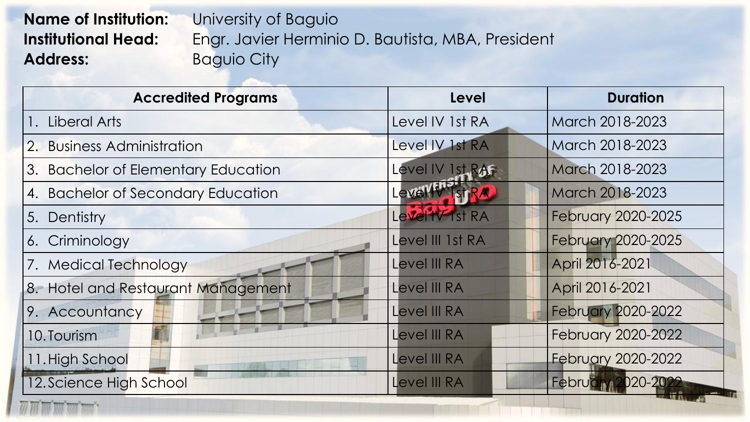## **Name of Institution:** University of Baguio Address: **Baguio City**

**Institutional Head:** Engr. Javier Herminio D. Bautista, MBA, President

| <b>Accredited Programs</b>                                                                                | <b>Level</b>           | <b>Duration</b>           |
|-----------------------------------------------------------------------------------------------------------|------------------------|---------------------------|
| 1. Liberal Arts                                                                                           | Level IV 1st RA        | March 2018-2023           |
| 2. Business Administration                                                                                | Level IV 1st RA        | March 2018-2023           |
| 3. Bachelor of Elementary Education                                                                       | Level IV 1st RAF       | March 2018-2023           |
| 4. Bachelor of Secondary Education                                                                        | Level W Ist RA         | March 2018-2023           |
| 5. Dentistry                                                                                              | Level <b>IV</b> 1st RA | February 2020-2025        |
| 6. Criminology                                                                                            | Level III 1st RA       | February 2020-2025        |
| 7. Medical Technology                                                                                     | Level III RA           | April 2016-2021           |
| 8. Hotel and Restaurant Management                                                                        | Level III RA           | April 2016-2021           |
| 9. Accountancy                                                                                            | Level III RA           | <b>February 2020-2022</b> |
| 10. Tourism                                                                                               | Level III RA           | <b>February 2020-2022</b> |
| 11. High School                                                                                           | Level III RA           | <b>February 2020-2022</b> |
| 12. Science High School<br>and the company of the company of the company of the company of the company of | Level III RA           | February 2020-2022        |